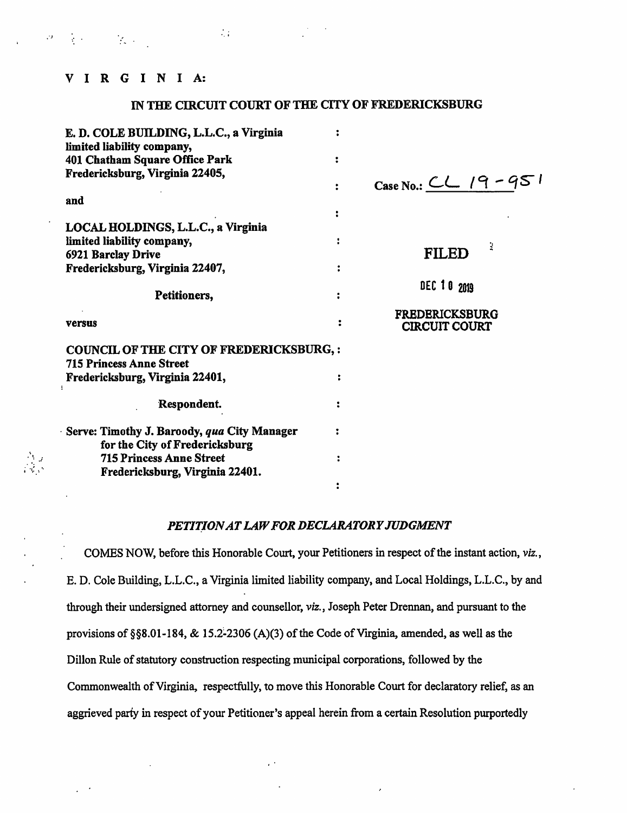# VIRGINIA:

# IN THE CIRCUIT COURT OF THE CITY OF FREDERICKSBURG

| E. D. COLE BUILDING, L.L.C., a Virginia                                           |                                               |
|-----------------------------------------------------------------------------------|-----------------------------------------------|
| limited liability company,<br>401 Chatham Square Office Park                      |                                               |
| Fredericksburg, Virginia 22405,                                                   |                                               |
|                                                                                   | Case No.: $CL$ 19-951                         |
| and                                                                               |                                               |
| LOCAL HOLDINGS, L.L.C., a Virginia                                                |                                               |
| limited liability company,                                                        |                                               |
| 6921 Barclay Drive                                                                | <b>FILED</b>                                  |
| Fredericksburg, Virginia 22407,                                                   |                                               |
| Petitioners,                                                                      | DEC 10 2019                                   |
| versus                                                                            | <b>FREDERICKSBURG</b><br><b>CIRCUIT COURT</b> |
| <b>COUNCIL OF THE CITY OF FREDERICKSBURG,:</b><br><b>715 Princess Anne Street</b> |                                               |
| Fredericksburg, Virginia 22401,                                                   |                                               |
| Respondent.                                                                       |                                               |
| Serve: Timothy J. Baroody, qua City Manager                                       |                                               |
| for the City of Fredericksburg                                                    |                                               |
| <b>715 Princess Anne Street</b>                                                   |                                               |
| Fredericksburg, Virginia 22401.                                                   |                                               |
|                                                                                   |                                               |

# PETITION AT LAW FOR DECLARATORY JUDGMENT

COMES NOW, before this Honorable Court, your Petitioners in respect of the instant action, viz., E. D. Cole Building, L.L.C., a Virginia limited liability company, and Local Holdings, L.L.C., by and through their undersigned attorney and counsellor, viz., Joseph Peter Drennan, and pursuant to the provisions of §§8.01-184, & 15.2-2306 (A)(3) of the Code of Virginia, amended, as well as the Dillon Rule of statutory construction respecting municipal corporations, followed by the Commonwealth of Virginia, respectfully, to move this Honorable Court for declaratory relief, as an aggrieved party in respect of your Petitioner's appeal herein from a certain Resolution purportedly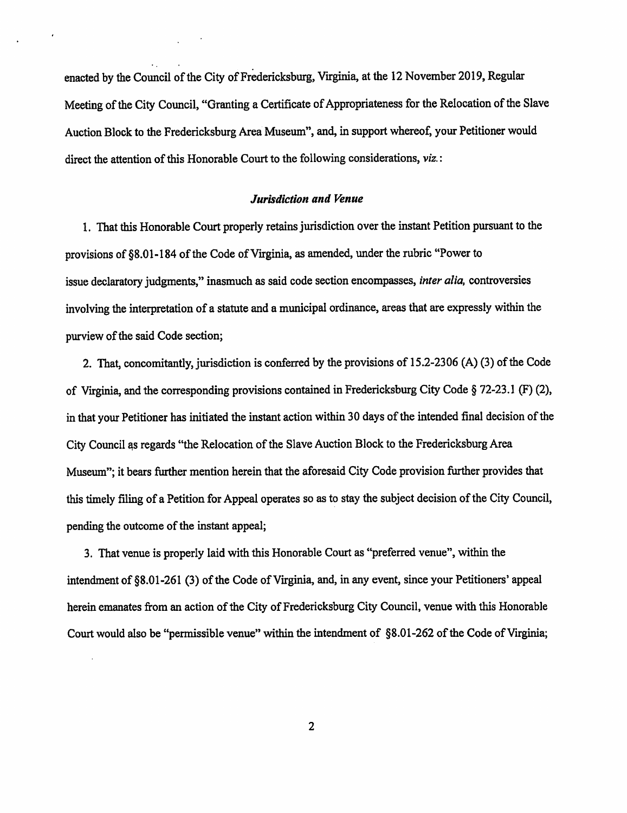enacted by the Council of the City of Fredericksburg, Virginia, at the 12 November 2019, Regular Meeting of the City Council, "Granting a Certificate of Appropriateness for the Relocation of the Slave Auction Block to the Fredericksburg Area Museum", and, in support whereof, your Petitioner would direct the attention of this Honorable Court to the following considerations, viz.:

## Jurisdiction and Venue

1. That this Honorable Court properly retains jurisdiction over the instant Petition pursuant to the provisions of §8.01-184 of the Code of Virginia, as amended, under the rubric "Power to issue declaratory judgments," inasmuch as said code section encompasses, inter alia, controversies involving the interpretation of a statute and a municipal ordinance, areas that are expressly within the purview of the said Code section;

2. That, concomitantly, jurisdiction is conferred by the provisions of 15.2-2306 (A) (3) of the Code of Virginia, and the corresponding provisions contained in Fredericksburg City Code § 72-23.1 (F) (2), in that your Petitioner has initiated the instant action within 30 days of the intended final decision of the City Council as regards "the Relocation of the Slave Auction Block to the Fredericksburg Area Museum"; it bears further mention herein that the aforesaid City Code provision further provides that this timely filing of a Petition for Appeal operates so as to stay the subject decision of the City Council, pending the outcome of the instant appeal;

3. That venue is properly laid with this Honorable Court as "preferred venue", within the intendment of §8.01-261 (3) of the Code of Virginia, and, in any event, since your Petitioners' appeal herein emanates from an action of the City of Fredericksburg City Council, venue with this Honorable Court would also be "permissible venue" within the intendment of §8.01-262 of the Code of Virginia;

 $\overline{2}$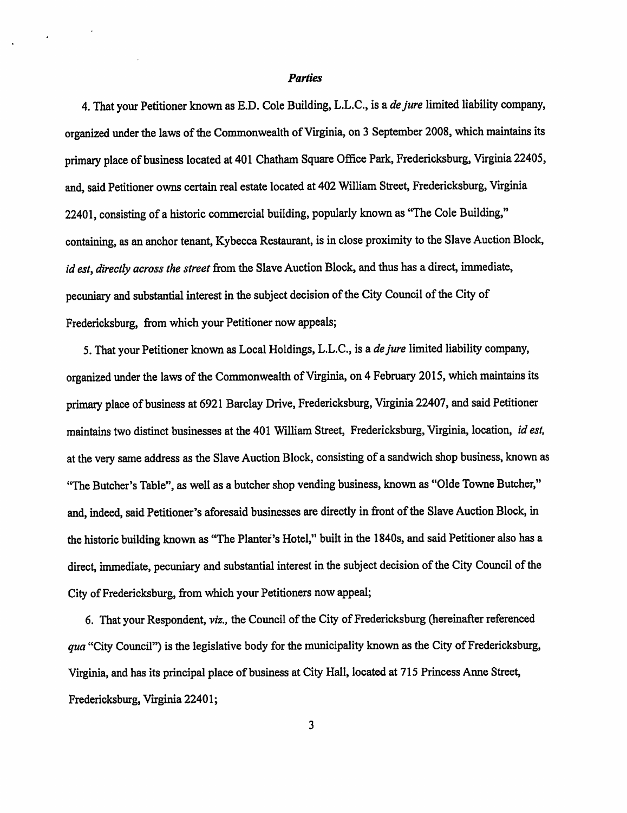## Parties

4. That your Petitioner known as E.D. Cole Building, L.L.C., is a *de jure* limited liability company, organized under the laws of the Commonwealth of Virginia, on 3 September 2008, which maintains its primary place of business located at 401 Chatham Square Office Park, Fredericksburg, Virginia 22405, and, said Petitioner owns certain real estate located at 402 William Street, Fredericksburg, Virginia 22401, consisting of a historic commercial building, popularly known as "The Cole Building," containing, as an anchor tenant, Kybecca Restaurant, is in close proximity to the Slave Auction Block, id est, directly across the street from the Slave Auction Block, and thus has a direct, immediate, pecuniary and substantial interest in the subject decision of the City Council of the City of Fredericksburg, from which your Petitioner now appeals;

5. That your Petitioner known as Local Holdings, L.L.C., is a de jure limited liability company, organized under the laws of the Commonwealth of Virginia, on 4 February 2015, which maintains its primary place of business at 6921 Barclay Drive, Fredericksburg, Virginia 22407, and said Petitioner maintains two distinct businesses at the 401 William Street, Fredericksburg, Virginia, location, id est, at the very same address as the Slave Auction Block, consisting of a sandwich shop business, known as "The Butcher's Table", as well as a butcher shop vending business, known as "Olde Towne Butcher," and, indeed, said Petitioner's aforesaid businesses are directly in front of the Slave Auction Block, in the historic building known as "The Planter's Hotel," built in the 1840s, and said Petitioner also has a direct, immediate, pecuniary and substantial interest in the subject decision of the City Council of the City of Fredericksburg, from which your Petitioners now appeal;

6. That your Respondent, viz., the Council of the City of Fredericksburg (hereinafter referenced qua "City Council") is the legislative body for the municipality known as the City of Fredericksburg, Virginia, and has its principal place of business at City Hall, located at 715 Princess Anne Street, Fredericksburg, Virginia 22401;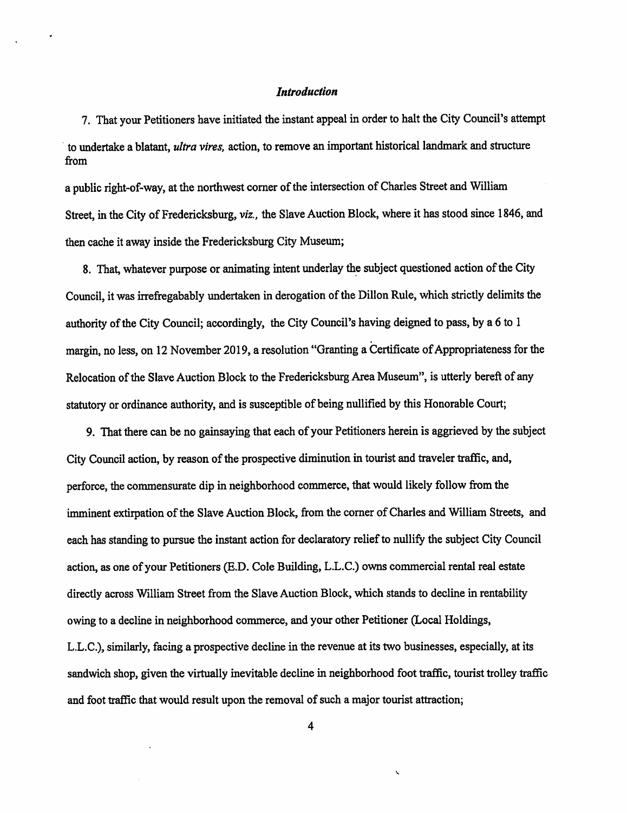## Introduction

7. That your Petitioners have initiated the instant appeal in order to halt the City Council's attempt to undertake a blatant, ultra vires, action, to remove an important historical landmark and structure from

a public right-of-way, at the northwest comer of the intersection of Charles Street and William Street, in the City of Fredericksburg, viz., the Slave Auction Block, where it has stood since 1846, and then cache it away inside the Fredericksburg City Museum;

8. That, whatever purpose or animating intent underlay the subject questioned action of the City Council, it was irrefregabably undertaken in derogation of the Dillon Rule, which strictly delimits the authority of the City Council; accordingly, the City Council's having deigned to pass, by a 6 to 1 margin, no less, on 12 November 2019, a resolution "Granting a Certificate of Appropriateness for the Relocation of the Slave Auction Block to the Fredericksburg Area Museum", is utterly bereft of any statutory or ordinance authority, and is susceptible of being nullified by this Honorable Court;

9. That there can be no gainsaying that each of your Petitioners herein is aggrieved by the subject City Council action, by reason of the prospective diminution in tourist and traveler traffic, and, perforce, the commensurate dip in neighborhood commerce, that would likely follow from the imminent extirpation of the Slave Auction Block, from the comer of Charles and William Streets, and each has standing to pursue the instant action for declaratory relief to nullify the subject City Council action, as one of your Petitioners (E.D. Cole Building, L.L.C.) owns commercial rental real estate directly across William Street from the Slave Auction Block, which stands to decline in rentability owing to a decline in neighborhood commerce, and your other Petitioner (Local Holdings, L.L.C.), similarly, facing a prospective decline in the revenue at its two businesses, especially, at its sandwich shop, given the virtually inevitable decline in neighborhood foot traffic, tourist trolley traffic and foot traffic that would result upon the removal of such a major tourist attraction;

 $\ddot{\phantom{0}}$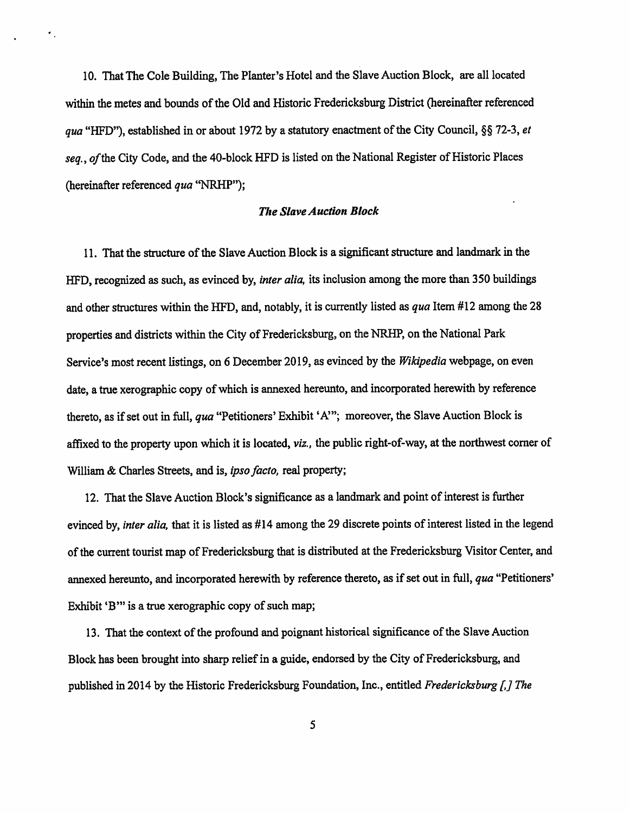10. That The Cole Building, The Planter's Hotel and the Slave Auction Block, are all located within the metes and bounds of the Old and Historic Fredericksburg District (hereinafter referenced qua "HFD"), established in or about 1972 by a statutory enactment of the City Council, §§ 72-3, et seq., of the City Code, and the 40-block HFD is listed on the National Register of Historic Places (hereinafter referenced qua "NRHP");

 $\star$  .

#### The Slave Auction Block

11. That the structure of the Slave Auction Block is a significant structure and landmark in the HFD, recognized as such, as evinced by, *inter alia*, its inclusion among the more than 350 buildings and other structures within the HFD, and, notably, it is currently listed as qua Item #12 among the 28 properties and districts within the City of Fredericksburg, on the NRHP, on the National Park Service's most recent listings, on 6 December 2019, as evinced by the Wikipedia webpage, on even date, a true xerographic copy of which is annexed hereunto, and incorporated herewith by reference thereto, as if set out in full, qua "Petitioners' Exhibit 'A'"; moreover, the Slave Auction Block is affixed to the property upon which it is located, *viz.*, the public right-of-way, at the northwest corner of William & Charles Streets, and is, *ipso facto*, real property;

12. That the Slave Auction Block's significance as a landmark and point of interest is further evinced by, *inter alia*, that it is listed as #14 among the 29 discrete points of interest listed in the legend of the current tourist map of Fredericksburg that is distributed at the Fredericksburg Visitor Center, and annexed hereunto, and incorporated herewith by reference thereto, as if set out in full, qua "Petitioners' Exhibit 'B'" is a true xerographic copy of such map;

13. That the context of the profound and poignant historical significance of the Slave Auction Block has been brought into sharp relief in a guide, endorsed by the City of Fredericksburg, and published in 2014 by the Historic Fredericksburg Foundation, Inc., entitled Fredericksburg [,] The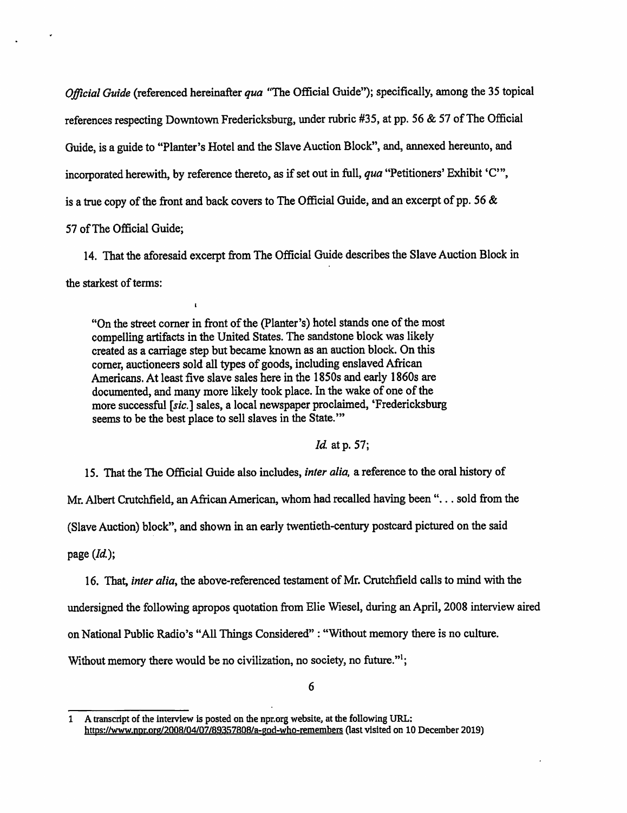Official Guide (referenced hereinafter qua "The Official Guide"); specifically, among the 35 topical references respecting Downtown Fredericksburg, under rubric #35, at pp. 56 & 57 of The Official Guide, is a guide to "Planter's Hotel and the Slave Auction Block", and, annexed hereunto, and incorporated herewith, by reference thereto, as if set out in full, qua "Petitioners' Exhibit 'C'", is a true copy of the front and back covers to The Official Guide, and an excerpt of pp. 56 & 57 of The Official Guide;

14. That the aforesaid excerpt from The Official Guide describes the Slave Auction Block in the starkest of terms:

"On the street comer in front of the (Planter's) hotel stands one of the most compelling artifacts in the United States. The sandstone block was likely created as a carriage step but became known as an auction block. On this comer, auctioneers sold all types of goods, including enslaved African Americans. At least five slave sales here in the 1850s and early 1860s are documented, and many more likely took place. In the wake of one of the more successful [sic.] sales, a local newspaper proclaimed, 'Fredericksburg seems to be the best place to sell slaves in the State."

I

Id. at p. 57;

15. That the The Official Guide also includes, inter alia, a reference to the oral history of

Mr. Albert Crutchfield, an African American, whom had recalled having been ",.. sold from the

(Slave Auction) block", and shown in an early twentieth-century postcard pictured on the said

page  $(Id.)$ ;

16. That, *inter alia*, the above-referenced testament of Mr. Crutchfield calls to mind with the undersigned the following apropos quotation from Elie Wiesel, during an April, 2008 interview aired on National Public Radio's "All Things Considered" : "Without memory there is no culture. Without memory there would be no civilization, no society, no future."<sup>1</sup>;

<sup>1</sup> A transcript of the interview is posted on the npr.org website, at the following URL: https://www.nDr.org/2Q08/Q4/Q7/893578QB/a-pod-who-remembers Qast visited on 10 December 2019)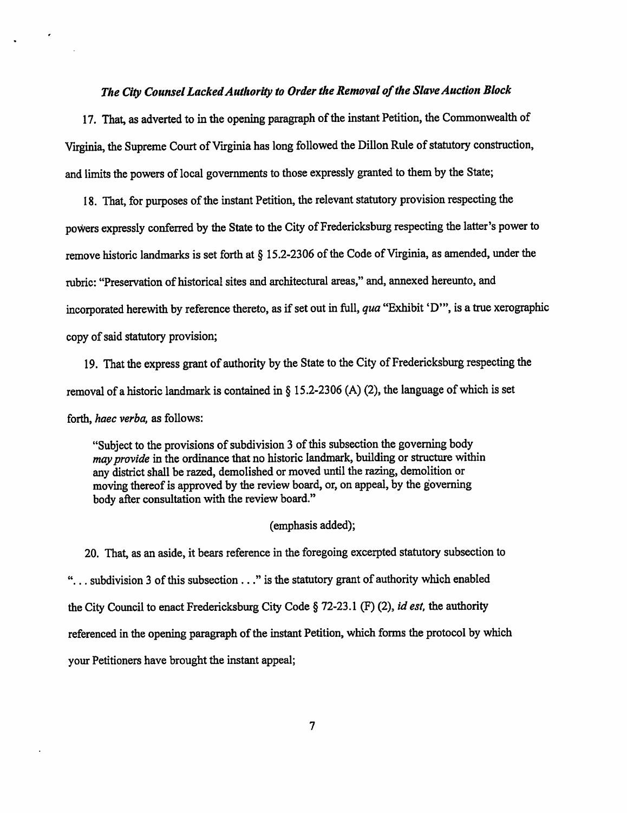#### The City Counsel Lacked Authority to Order the Removal of the Slave Auction Block

17. That, as adverted to in the opening paragraph of the instant Petition, the Commonwealth of Virginia, the Supreme Court of Virginia has long followed the Dillon Rule of statutory construction, and limits the powers of local governments to those expressly granted to them by the State;

18. That, for purposes of the instant Petition, the relevant statutory provision respecting the powers expressly conferred by the State to the City of Fredericksburg respecting the latter's power to remove historic landmarks is set forth at § 15.2-2306 of the Code of Virginia, as amended, under the rubric: "Preservation of historical sites and architectural areas," and, annexed hereunto, and incorporated herewith by reference thereto, as if set out in full, qua "Exhibit 'D'", is a true xerographic copy of said statutory provision;

19. That the express grant of authority by the State to the City of Fredericksburg respecting the removal of a historic landmark is contained in § 15.2-2306 (A) (2), the language of which is set forth, haec verba, as follows:

"Subject to the provisions of subdivision 3 of this subsection the governing body may provide in the ordinance that no historic landmark, building or structure within any district shall be razed, demolished or moved until the razing, demolition or moving thereof is approved by the review board, or, on appeal, by the governing body after consultation with the review board."

## (emphasis added);

20. That, as an aside, it bears reference in the foregoing excerpted statutory subsection to "... subdivision 3 of this subsection..." is the statutory grant of authority which enabled the City Council to enact Fredericksburg City Code § 72-23.1 (F) (2), *id est*, the authority referenced in the opening paragraph of the instant Petition, which forms the protocol by which your Petitioners have brought the instant appeal;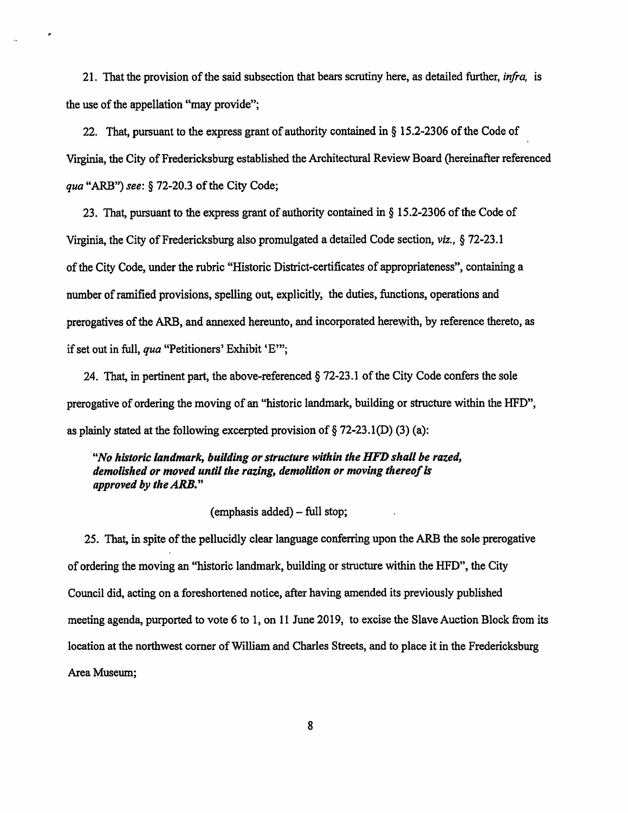21. That the provision of the said subsection that bears scrutiny here, as detailed further, *infra*, is the use of the appellation "may provide";

 $\epsilon$ 

22. That, pursuant to the express grant of authority contained in § 15.2-2306 of the Code of Virginia, the City of Fredericksburg established the Architectural Review Board (hereinafter referenced qua "ARB") see: § 72-20.3 of the City Code;

23. That, pursuant to the express grant of authority contained in § 15.2-2306 of the Code of Virginia, the City of Fredericksburg also promulgated a detailed Code section, viz., § 72-23.1 of the City Code, under the rubric "Historic District-certificates of appropriateness", containing a number of ramified provisions, spelling out, explicitly, the duties, functions, operations and prerogatives of the ARB, and annexed hereunto, and incorporated herewith, by reference thereto, as if set out in full, qua "Petitioners' Exhibit 'E'";

24. That, in pertinent part, the above-referenced § 72-23.1 of the City Code confers the sole prerogative of ordering the moving of an "historic landmark, building or structure within the HFD", as plainly stated at the following excerpted provision of  $\S$  72-23.1(D) (3) (a):

"No historic landmark, building or structure within the HFD shall be razed, demolished or moved until the razing, demolition or moving thereof is approved by the  $ARB$ ."

# $(emphasis added) - full stop;$

25. That, in spite of the pellucidly clear language conferring upon the ARB the sole prerogative of ordering the moving an "historic landmark, building or structure within the HFD", the City Council did, acting on a foreshortened notice, after having amended its previously published meeting agenda, purported to vote 6 to 1, on 11 June 2019, to excise the Slave Auction Block from its location at the northwest corner of William and Charles Streets, and to place it in the Fredericksburg Area Museum;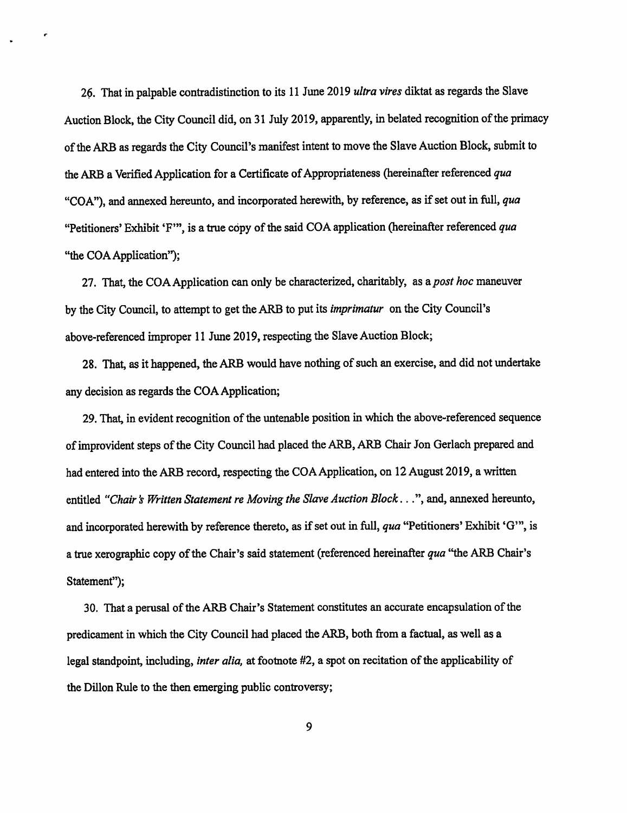26. That in palpable contradistinction to its 11 June 2019 ultra vires diktat as regards the Slave Auction Block, the City Council did, on 31 July 2019, apparently, in belated recognition of the primacy of the ARB as regards the City Council's manifest intent to move the Slave Auction Block, submit to the ARB a Verified Application for a Certificate of Appropriateness (hereinafter referenced qua "COA"), and annexed hereunto, and incorporated herewith, by reference, as if set out in full, qua "Petitioners' Exhibit 'F'", is a true copy of the said COA application (hereinafter referenced qua "the COA Application");

27. That, the COA Application can only be characterized, charitably, as a post hoc maneuver by the City Council, to attempt to get the ARB to put its imprimatur on the City Council's above-referenced improper 11 June 2019, respecting the Slave Auction Block;

28. That, as it happened, the ARB would have nothing of such an exercise, and did not undertake any decision as regards the COA Application;

29. That, in evident recognition of the untenable position in which the above-referenced sequence of improvident steps of the City Council had placed the ARB, ARB Chair Jon Gerlach prepared and had entered into the ARB record, respecting the COA Application, on 12 August 2019, a written entitled "Chair's Written Statement re Moving the Slave Auction Block...", and, annexed hereunto, and incorporated herewith by reference thereto, as if set out in full, qua "Petitioners' Exhibit 'G'", is a true xerographic copy of the Chair's said statement (referenced hereinafter qua "the ARB Chair's Statement");

30. That a perusal of the ARB Chair's Statement constitutes an accurate encapsulation of the predicament in which the City Council had placed the ARB, both from a factual, as well as a legal standpoint, including, *inter alia*, at footnote #2, a spot on recitation of the applicability of the Dillon Rule to the then emerging public controversy;

9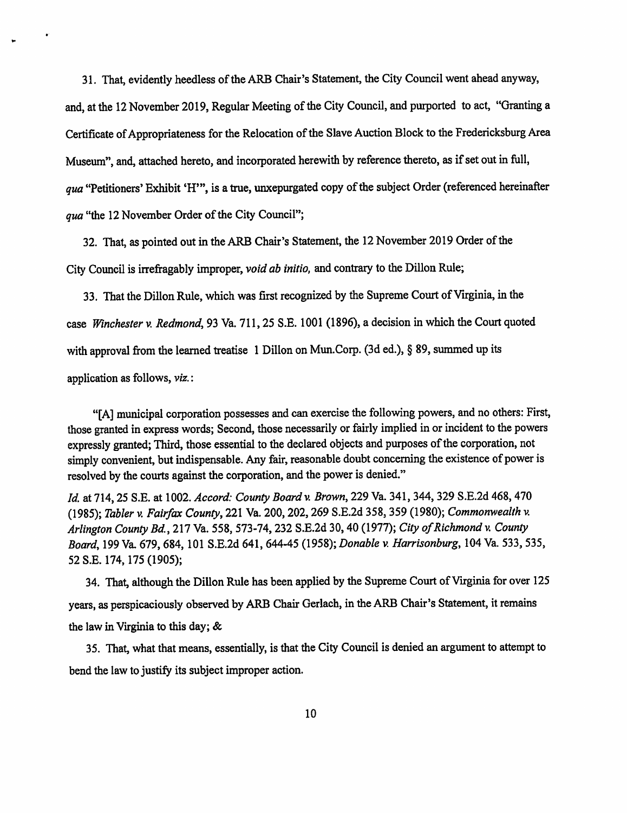31. That, evidently heedless of the ARB Chair's Statement, the City Council went ahead anyway, and, at the 12 November 2019, Regular Meeting of the City Council, and purported to act, "Granting a Certificate of Appropriateness for the Relocation of the Slave Auction Block to the Fredericksburg Area Museum", and, attached hereto, and incorporated herewith by reference thereto, as if set out in full, qua "Petitioners' Exhibit 'H'", is a true, unxepurgated copy of the subject Order (referenced hereinafter qua "the 12 November Order of the City Council";

32. That, as pointed out in the ARB Chair's Statement, the 12 November 2019 Order of the City Council is irreffagably improper, void ab initio, and contrary to the Dillon Rule;

33. That the Dillon Rule, which was first recognized by the Supreme Court of Virginia, in the case Winchester v. Redmond, 93 Va. 711,25 S.E. 1001 (1896), a decision in which the Court quoted with approval from the learned treatise 1 Dillon on Mun.Corp. (3d ed.), § 89, summed up its application as follows, viz.:

"[A] municipal corporation possesses and can exercise the following powers, and no others: First, those granted in express words; Second, those necessarily or fairly implied in or incident to the powers expressly granted; Third, those essential to the declared objects and purposes of the corporation, not simply convenient, but indispensable. Any fair, reasonable doubt concerning the existence of power is resolved by the courts against the corporation, and the power is denied."

Id. at 714, 25 S.E. at 1002. Accord: County Board v. Brown, 229 Va. 341, 344, 329 S.E.2d 468, 470 (1985); Tabler v. Fairfax County, 221 Va. 200,202,269 S.E.2d 358, 359 (1980); Commonwealth v. Arlington County Bd, 217 Va. 558, 573-74,232 S.E.2d 30,40 (1977); City of Richmond v. County Board, 199 Va. 679,684,101 S.E.2d 641, 644-45 (1958); Donable v. Harrisonburg, 104 Va. 533, 535, 52 S.E. 174,175 (1905);

34. That, although the Dillon Rule has been applied by the Supreme Court of Virginia for over 125 years, as perspicaciously observed by ARB Chair Gerlach, in the ARB Chair's Statement, it remains the law in Virginia to this day; &

35. That, what that means, essentially, is that the City Council is denied an argument to attempt to bend the law to justify its subject improper action.